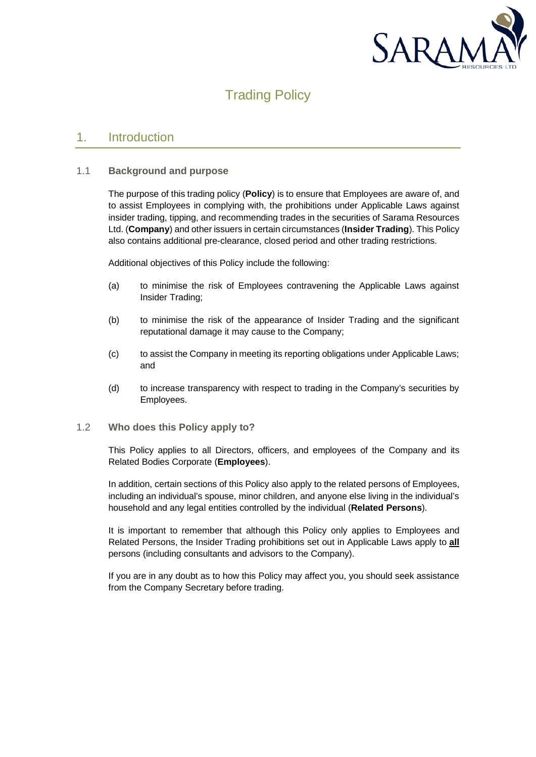

# Trading Policy

### 1. Introduction

#### 1.1 **Background and purpose**

The purpose of this trading policy (**Policy**) is to ensure that Employees are aware of, and to assist Employees in complying with, the prohibitions under Applicable Laws against insider trading, tipping, and recommending trades in the securities of Sarama Resources Ltd. (**Company**) and other issuers in certain circumstances (**Insider Trading**). This Policy also contains additional pre-clearance, closed period and other trading restrictions.

Additional objectives of this Policy include the following:

- (a) to minimise the risk of Employees contravening the Applicable Laws against Insider Trading;
- (b) to minimise the risk of the appearance of Insider Trading and the significant reputational damage it may cause to the Company;
- (c) to assist the Company in meeting its reporting obligations under Applicable Laws; and
- (d) to increase transparency with respect to trading in the Company's securities by Employees.
- 1.2 **Who does this Policy apply to?**

This Policy applies to all Directors, officers, and employees of the Company and its Related Bodies Corporate (**Employees**).

In addition, certain sections of this Policy also apply to the related persons of Employees, including an individual's spouse, minor children, and anyone else living in the individual's household and any legal entities controlled by the individual (**Related Persons**).

It is important to remember that although this Policy only applies to Employees and Related Persons, the Insider Trading prohibitions set out in Applicable Laws apply to **all** persons (including consultants and advisors to the Company).

If you are in any doubt as to how this Policy may affect you, you should seek assistance from the Company Secretary before trading.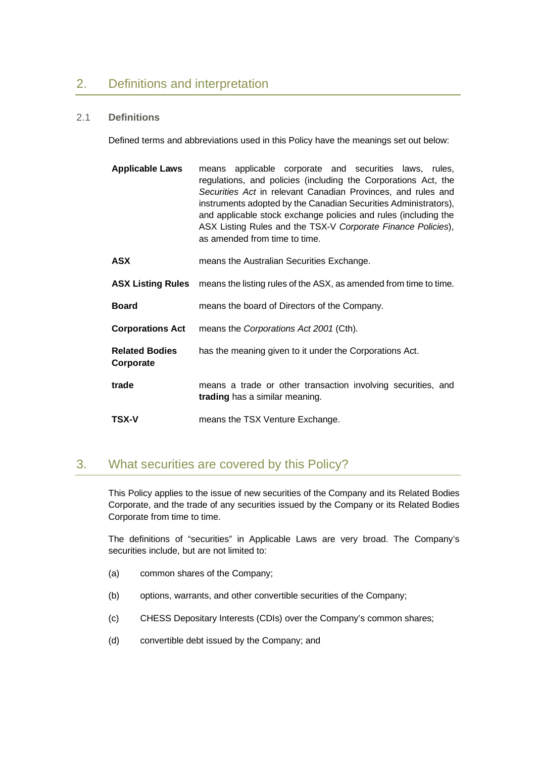## 2. Definitions and interpretation

#### 2.1 **Definitions**

Defined terms and abbreviations used in this Policy have the meanings set out below:

| <b>Applicable Laws</b>   | means applicable corporate and securities laws, rules,<br>regulations, and policies (including the Corporations Act, the<br>Securities Act in relevant Canadian Provinces, and rules and<br>instruments adopted by the Canadian Securities Administrators),<br>and applicable stock exchange policies and rules (including the<br>ASX Listing Rules and the TSX-V Corporate Finance Policies),<br>as amended from time to time. |
|--------------------------|---------------------------------------------------------------------------------------------------------------------------------------------------------------------------------------------------------------------------------------------------------------------------------------------------------------------------------------------------------------------------------------------------------------------------------|
| <b>ASX</b>               | means the Australian Securities Exchange.                                                                                                                                                                                                                                                                                                                                                                                       |
| <b>ASX Listing Rules</b> | means the listing rules of the ASX, as amended from time to time.                                                                                                                                                                                                                                                                                                                                                               |

- **Board** means the board of Directors of the Company.
- **Corporations Act** means the *Corporations Act 2001* (Cth).
- **Related Bodies Corporate** has the meaning given to it under the Corporations Act.
- **trade** means a trade or other transaction involving securities, and **trading** has a similar meaning.
- **TSX-V** means the TSX Venture Exchange.

## 3. What securities are covered by this Policy?

This Policy applies to the issue of new securities of the Company and its Related Bodies Corporate, and the trade of any securities issued by the Company or its Related Bodies Corporate from time to time.

The definitions of "securities" in Applicable Laws are very broad. The Company's securities include, but are not limited to:

- (a) common shares of the Company;
- (b) options, warrants, and other convertible securities of the Company;
- (c) CHESS Depositary Interests (CDIs) over the Company's common shares;
- (d) convertible debt issued by the Company; and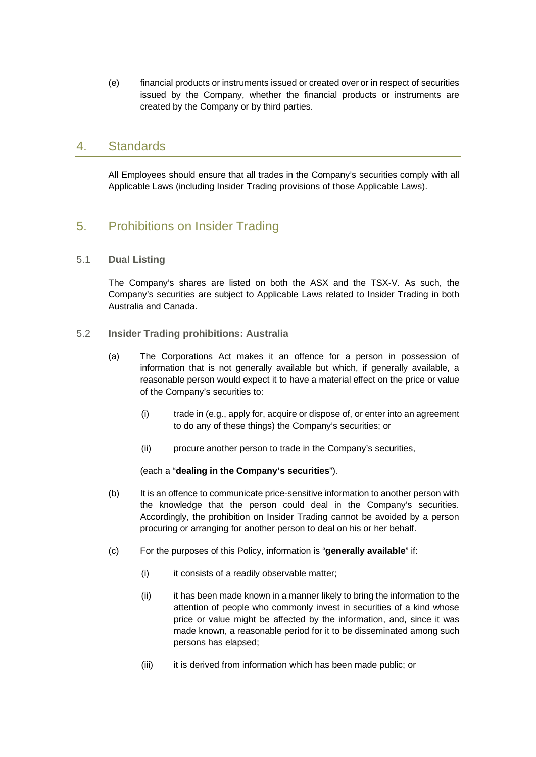(e) financial products or instruments issued or created over or in respect of securities issued by the Company, whether the financial products or instruments are created by the Company or by third parties.

### 4. Standards

All Employees should ensure that all trades in the Company's securities comply with all Applicable Laws (including Insider Trading provisions of those Applicable Laws).

## 5. Prohibitions on Insider Trading

#### 5.1 **Dual Listing**

The Company's shares are listed on both the ASX and the TSX-V. As such, the Company's securities are subject to Applicable Laws related to Insider Trading in both Australia and Canada.

- 5.2 **Insider Trading prohibitions: Australia**
	- (a) The Corporations Act makes it an offence for a person in possession of information that is not generally available but which, if generally available, a reasonable person would expect it to have a material effect on the price or value of the Company's securities to:
		- (i) trade in (e.g., apply for, acquire or dispose of, or enter into an agreement to do any of these things) the Company's securities; or
		- (ii) procure another person to trade in the Company's securities,

(each a "**dealing in the Company's securities**").

- (b) It is an offence to communicate price-sensitive information to another person with the knowledge that the person could deal in the Company's securities. Accordingly, the prohibition on Insider Trading cannot be avoided by a person procuring or arranging for another person to deal on his or her behalf.
- (c) For the purposes of this Policy, information is "**generally available**" if:
	- (i) it consists of a readily observable matter;
	- (ii) it has been made known in a manner likely to bring the information to the attention of people who commonly invest in securities of a kind whose price or value might be affected by the information, and, since it was made known, a reasonable period for it to be disseminated among such persons has elapsed;
	- (iii) it is derived from information which has been made public; or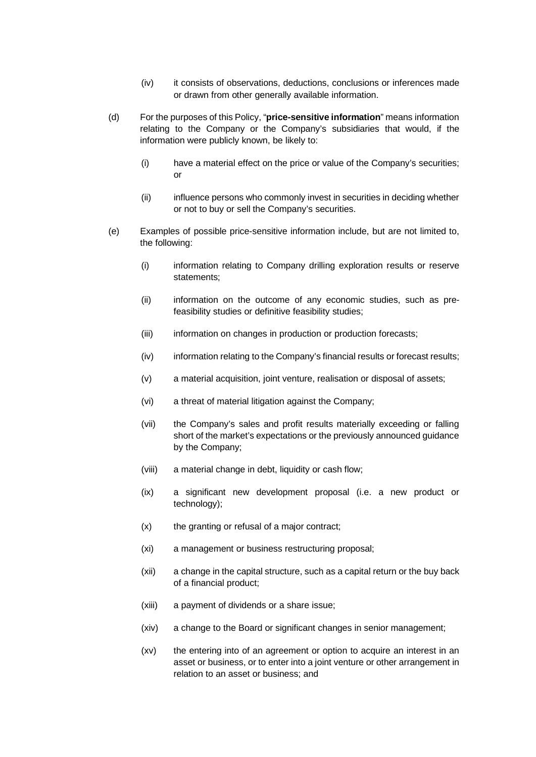- (iv) it consists of observations, deductions, conclusions or inferences made or drawn from other generally available information.
- (d) For the purposes of this Policy, "**price-sensitive information**" means information relating to the Company or the Company's subsidiaries that would, if the information were publicly known, be likely to:
	- (i) have a material effect on the price or value of the Company's securities; or
	- (ii) influence persons who commonly invest in securities in deciding whether or not to buy or sell the Company's securities.
- <span id="page-3-0"></span>(e) Examples of possible price-sensitive information include, but are not limited to, the following:
	- (i) information relating to Company drilling exploration results or reserve statements;
	- (ii) information on the outcome of any economic studies, such as prefeasibility studies or definitive feasibility studies;
	- (iii) information on changes in production or production forecasts;
	- (iv) information relating to the Company's financial results or forecast results;
	- (v) a material acquisition, joint venture, realisation or disposal of assets;
	- (vi) a threat of material litigation against the Company;
	- (vii) the Company's sales and profit results materially exceeding or falling short of the market's expectations or the previously announced guidance by the Company;
	- (viii) a material change in debt, liquidity or cash flow;
	- (ix) a significant new development proposal (i.e. a new product or technology);
	- (x) the granting or refusal of a major contract;
	- (xi) a management or business restructuring proposal;
	- (xii) a change in the capital structure, such as a capital return or the buy back of a financial product;
	- (xiii) a payment of dividends or a share issue;
	- (xiv) a change to the Board or significant changes in senior management;
	- (xv) the entering into of an agreement or option to acquire an interest in an asset or business, or to enter into a joint venture or other arrangement in relation to an asset or business; and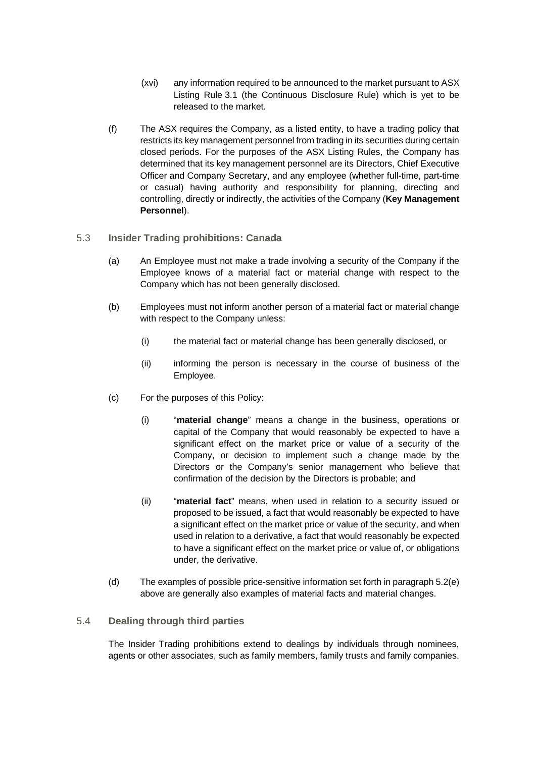- (xvi) any information required to be announced to the market pursuant to ASX Listing Rule 3.1 (the Continuous Disclosure Rule) which is yet to be released to the market.
- (f) The ASX requires the Company, as a listed entity, to have a trading policy that restricts its key management personnel from trading in its securities during certain closed periods. For the purposes of the ASX Listing Rules, the Company has determined that its key management personnel are its Directors, Chief Executive Officer and Company Secretary, and any employee (whether full-time, part-time or casual) having authority and responsibility for planning, directing and controlling, directly or indirectly, the activities of the Company (**Key Management Personnel**).
- 5.3 **Insider Trading prohibitions: Canada**
	- (a) An Employee must not make a trade involving a security of the Company if the Employee knows of a material fact or material change with respect to the Company which has not been generally disclosed.
	- (b) Employees must not inform another person of a material fact or material change with respect to the Company unless:
		- (i) the material fact or material change has been generally disclosed, or
		- (ii) informing the person is necessary in the course of business of the Employee.
	- (c) For the purposes of this Policy:
		- (i) "**material change**" means a change in the business, operations or capital of the Company that would reasonably be expected to have a significant effect on the market price or value of a security of the Company, or decision to implement such a change made by the Directors or the Company's senior management who believe that confirmation of the decision by the Directors is probable; and
		- (ii) "**material fact**" means, when used in relation to a security issued or proposed to be issued, a fact that would reasonably be expected to have a significant effect on the market price or value of the security, and when used in relation to a derivative, a fact that would reasonably be expected to have a significant effect on the market price or value of, or obligations under, the derivative.
	- (d) The examples of possible price-sensitive information set forth in paragraph [5.2\(e\)](#page-3-0) above are generally also examples of material facts and material changes.

#### 5.4 **Dealing through third parties**

The Insider Trading prohibitions extend to dealings by individuals through nominees, agents or other associates, such as family members, family trusts and family companies.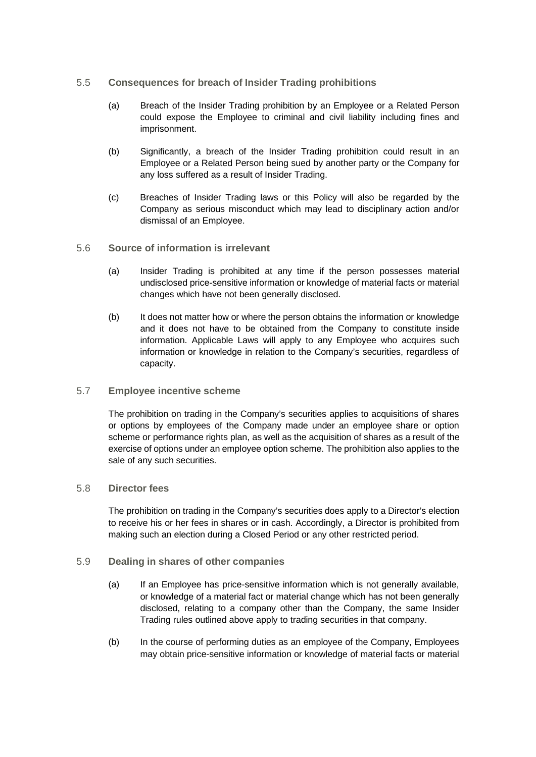#### 5.5 **Consequences for breach of Insider Trading prohibitions**

- (a) Breach of the Insider Trading prohibition by an Employee or a Related Person could expose the Employee to criminal and civil liability including fines and imprisonment.
- (b) Significantly, a breach of the Insider Trading prohibition could result in an Employee or a Related Person being sued by another party or the Company for any loss suffered as a result of Insider Trading.
- (c) Breaches of Insider Trading laws or this Policy will also be regarded by the Company as serious misconduct which may lead to disciplinary action and/or dismissal of an Employee.
- 5.6 **Source of information is irrelevant** 
	- (a) Insider Trading is prohibited at any time if the person possesses material undisclosed price-sensitive information or knowledge of material facts or material changes which have not been generally disclosed.
	- (b) It does not matter how or where the person obtains the information or knowledge and it does not have to be obtained from the Company to constitute inside information. Applicable Laws will apply to any Employee who acquires such information or knowledge in relation to the Company's securities, regardless of capacity.

#### 5.7 **Employee incentive scheme**

The prohibition on trading in the Company's securities applies to acquisitions of shares or options by employees of the Company made under an employee share or option scheme or performance rights plan, as well as the acquisition of shares as a result of the exercise of options under an employee option scheme. The prohibition also applies to the sale of any such securities.

#### 5.8 **Director fees**

The prohibition on trading in the Company's securities does apply to a Director's election to receive his or her fees in shares or in cash. Accordingly, a Director is prohibited from making such an election during a Closed Period or any other restricted period.

#### 5.9 **Dealing in shares of other companies**

- (a) If an Employee has price-sensitive information which is not generally available, or knowledge of a material fact or material change which has not been generally disclosed, relating to a company other than the Company, the same Insider Trading rules outlined above apply to trading securities in that company.
- (b) In the course of performing duties as an employee of the Company, Employees may obtain price-sensitive information or knowledge of material facts or material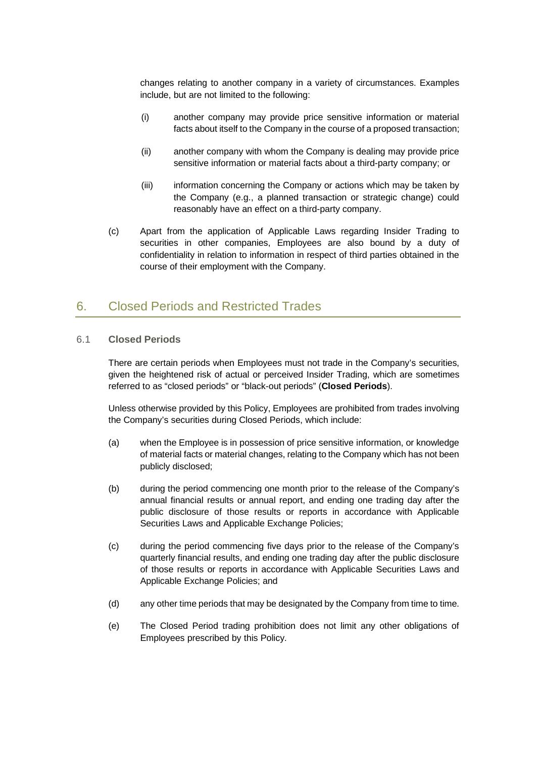changes relating to another company in a variety of circumstances. Examples include, but are not limited to the following:

- (i) another company may provide price sensitive information or material facts about itself to the Company in the course of a proposed transaction;
- (ii) another company with whom the Company is dealing may provide price sensitive information or material facts about a third-party company; or
- (iii) information concerning the Company or actions which may be taken by the Company (e.g., a planned transaction or strategic change) could reasonably have an effect on a third-party company.
- (c) Apart from the application of Applicable Laws regarding Insider Trading to securities in other companies, Employees are also bound by a duty of confidentiality in relation to information in respect of third parties obtained in the course of their employment with the Company.

### 6. Closed Periods and Restricted Trades

#### <span id="page-6-0"></span>6.1 **Closed Periods**

There are certain periods when Employees must not trade in the Company's securities, given the heightened risk of actual or perceived Insider Trading, which are sometimes referred to as "closed periods" or "black-out periods" (**Closed Periods**).

Unless otherwise provided by this Policy, Employees are prohibited from trades involving the Company's securities during Closed Periods, which include:

- (a) when the Employee is in possession of price sensitive information, or knowledge of material facts or material changes, relating to the Company which has not been publicly disclosed;
- (b) during the period commencing one month prior to the release of the Company's annual financial results or annual report, and ending one trading day after the public disclosure of those results or reports in accordance with Applicable Securities Laws and Applicable Exchange Policies;
- (c) during the period commencing five days prior to the release of the Company's quarterly financial results, and ending one trading day after the public disclosure of those results or reports in accordance with Applicable Securities Laws and Applicable Exchange Policies; and
- (d) any other time periods that may be designated by the Company from time to time.
- (e) The Closed Period trading prohibition does not limit any other obligations of Employees prescribed by this Policy.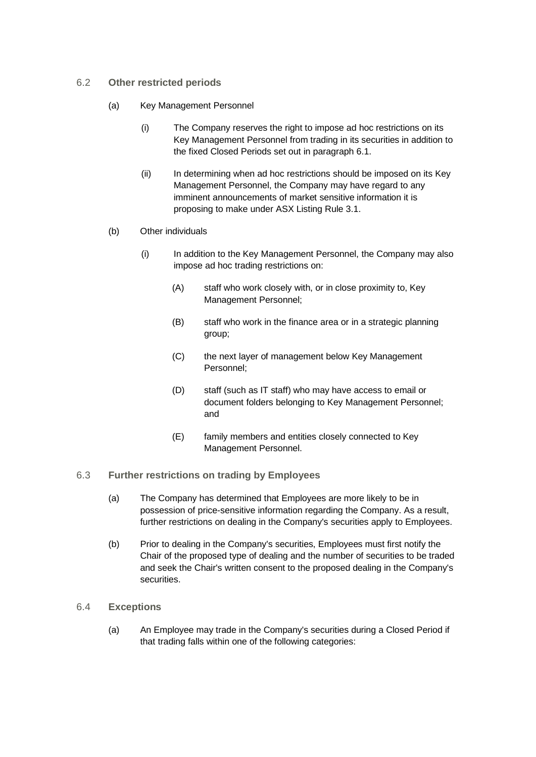- 6.2 **Other restricted periods** 
	- (a) Key Management Personnel
		- (i) The Company reserves the right to impose ad hoc restrictions on its Key Management Personnel from trading in its securities in addition to the fixed Closed Periods set out in paragraph [6.1.](#page-6-0)
		- (ii) In determining when ad hoc restrictions should be imposed on its Key Management Personnel, the Company may have regard to any imminent announcements of market sensitive information it is proposing to make under ASX Listing Rule 3.1.
	- (b) Other individuals
		- (i) In addition to the Key Management Personnel, the Company may also impose ad hoc trading restrictions on:
			- (A) staff who work closely with, or in close proximity to, Key Management Personnel;
			- (B) staff who work in the finance area or in a strategic planning group;
			- (C) the next layer of management below Key Management Personnel;
			- (D) staff (such as IT staff) who may have access to email or document folders belonging to Key Management Personnel; and
			- (E) family members and entities closely connected to Key Management Personnel.
- 6.3 **Further restrictions on trading by Employees**
	- (a) The Company has determined that Employees are more likely to be in possession of price-sensitive information regarding the Company. As a result, further restrictions on dealing in the Company's securities apply to Employees.
	- (b) Prior to dealing in the Company's securities, Employees must first notify the Chair of the proposed type of dealing and the number of securities to be traded and seek the Chair's written consent to the proposed dealing in the Company's securities.
- <span id="page-7-1"></span><span id="page-7-0"></span>6.4 **Exceptions**
	- (a) An Employee may trade in the Company's securities during a Closed Period if that trading falls within one of the following categories: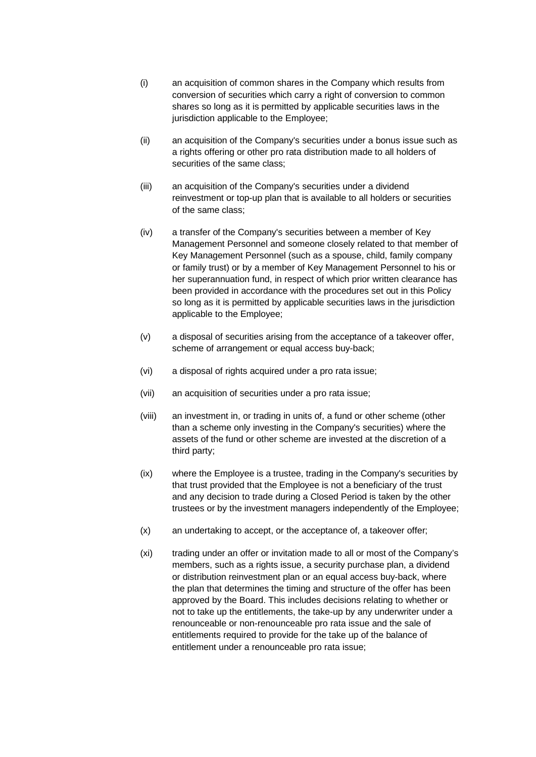- (i) an acquisition of common shares in the Company which results from conversion of securities which carry a right of conversion to common shares so long as it is permitted by applicable securities laws in the jurisdiction applicable to the Employee;
- (ii) an acquisition of the Company's securities under a bonus issue such as a rights offering or other pro rata distribution made to all holders of securities of the same class:
- (iii) an acquisition of the Company's securities under a dividend reinvestment or top-up plan that is available to all holders or securities of the same class;
- (iv) a transfer of the Company's securities between a member of Key Management Personnel and someone closely related to that member of Key Management Personnel (such as a spouse, child, family company or family trust) or by a member of Key Management Personnel to his or her superannuation fund, in respect of which prior written clearance has been provided in accordance with the procedures set out in this Policy so long as it is permitted by applicable securities laws in the jurisdiction applicable to the Employee;
- (v) a disposal of securities arising from the acceptance of a takeover offer, scheme of arrangement or equal access buy-back;
- (vi) a disposal of rights acquired under a pro rata issue;
- (vii) an acquisition of securities under a pro rata issue;
- (viii) an investment in, or trading in units of, a fund or other scheme (other than a scheme only investing in the Company's securities) where the assets of the fund or other scheme are invested at the discretion of a third party;
- (ix) where the Employee is a trustee, trading in the Company's securities by that trust provided that the Employee is not a beneficiary of the trust and any decision to trade during a Closed Period is taken by the other trustees or by the investment managers independently of the Employee;
- (x) an undertaking to accept, or the acceptance of, a takeover offer;
- (xi) trading under an offer or invitation made to all or most of the Company's members, such as a rights issue, a security purchase plan, a dividend or distribution reinvestment plan or an equal access buy-back, where the plan that determines the timing and structure of the offer has been approved by the Board. This includes decisions relating to whether or not to take up the entitlements, the take-up by any underwriter under a renounceable or non-renounceable pro rata issue and the sale of entitlements required to provide for the take up of the balance of entitlement under a renounceable pro rata issue;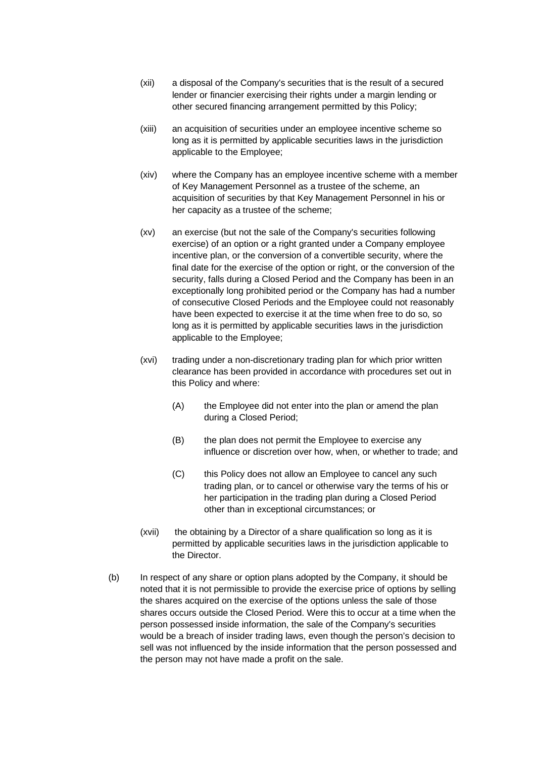- (xii) a disposal of the Company's securities that is the result of a secured lender or financier exercising their rights under a margin lending or other secured financing arrangement permitted by this Policy;
- (xiii) an acquisition of securities under an employee incentive scheme so long as it is permitted by applicable securities laws in the jurisdiction applicable to the Employee;
- (xiv) where the Company has an employee incentive scheme with a member of Key Management Personnel as a trustee of the scheme, an acquisition of securities by that Key Management Personnel in his or her capacity as a trustee of the scheme;
- (xv) an exercise (but not the sale of the Company's securities following exercise) of an option or a right granted under a Company employee incentive plan, or the conversion of a convertible security, where the final date for the exercise of the option or right, or the conversion of the security, falls during a Closed Period and the Company has been in an exceptionally long prohibited period or the Company has had a number of consecutive Closed Periods and the Employee could not reasonably have been expected to exercise it at the time when free to do so, so long as it is permitted by applicable securities laws in the jurisdiction applicable to the Employee;
- (xvi) trading under a non-discretionary trading plan for which prior written clearance has been provided in accordance with procedures set out in this Policy and where:
	- (A) the Employee did not enter into the plan or amend the plan during a Closed Period;
	- (B) the plan does not permit the Employee to exercise any influence or discretion over how, when, or whether to trade; and
	- (C) this Policy does not allow an Employee to cancel any such trading plan, or to cancel or otherwise vary the terms of his or her participation in the trading plan during a Closed Period other than in exceptional circumstances; or
- (xvii) the obtaining by a Director of a share qualification so long as it is permitted by applicable securities laws in the jurisdiction applicable to the Director.
- (b) In respect of any share or option plans adopted by the Company, it should be noted that it is not permissible to provide the exercise price of options by selling the shares acquired on the exercise of the options unless the sale of those shares occurs outside the Closed Period. Were this to occur at a time when the person possessed inside information, the sale of the Company's securities would be a breach of insider trading laws, even though the person's decision to sell was not influenced by the inside information that the person possessed and the person may not have made a profit on the sale.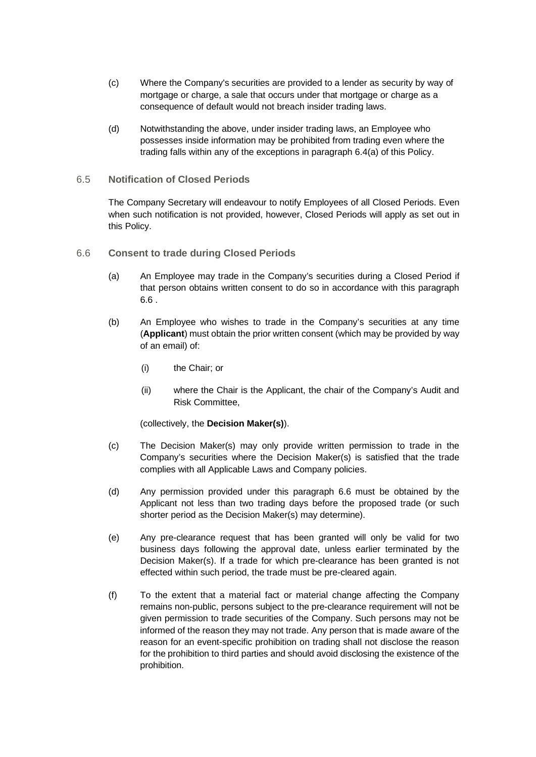- (c) Where the Company's securities are provided to a lender as security by way of mortgage or charge, a sale that occurs under that mortgage or charge as a consequence of default would not breach insider trading laws.
- (d) Notwithstanding the above, under insider trading laws, an Employee who possesses inside information may be prohibited from trading even where the trading falls within any of the exceptions in paragraph [6.4](#page-7-0)[\(a\)](#page-7-1) of this Policy.
- 6.5 **Notification of Closed Periods**

The Company Secretary will endeavour to notify Employees of all Closed Periods. Even when such notification is not provided, however, Closed Periods will apply as set out in this Policy.

- <span id="page-10-0"></span>6.6 **Consent to trade during Closed Periods**
	- (a) An Employee may trade in the Company's securities during a Closed Period if that person obtains written consent to do so in accordance with this paragraph [6.6](#page-10-0) .
	- (b) An Employee who wishes to trade in the Company's securities at any time (**Applicant**) must obtain the prior written consent (which may be provided by way of an email) of:
		- (i) the Chair; or
		- (ii) where the Chair is the Applicant, the chair of the Company's Audit and Risk Committee,

(collectively, the **Decision Maker(s)**).

- (c) The Decision Maker(s) may only provide written permission to trade in the Company's securities where the Decision Maker(s) is satisfied that the trade complies with all Applicable Laws and Company policies.
- (d) Any permission provided under this paragraph [6.6](#page-10-0) must be obtained by the Applicant not less than two trading days before the proposed trade (or such shorter period as the Decision Maker(s) may determine).
- (e) Any pre-clearance request that has been granted will only be valid for two business days following the approval date, unless earlier terminated by the Decision Maker(s). If a trade for which pre-clearance has been granted is not effected within such period, the trade must be pre-cleared again.
- (f) To the extent that a material fact or material change affecting the Company remains non-public, persons subject to the pre-clearance requirement will not be given permission to trade securities of the Company. Such persons may not be informed of the reason they may not trade. Any person that is made aware of the reason for an event-specific prohibition on trading shall not disclose the reason for the prohibition to third parties and should avoid disclosing the existence of the prohibition.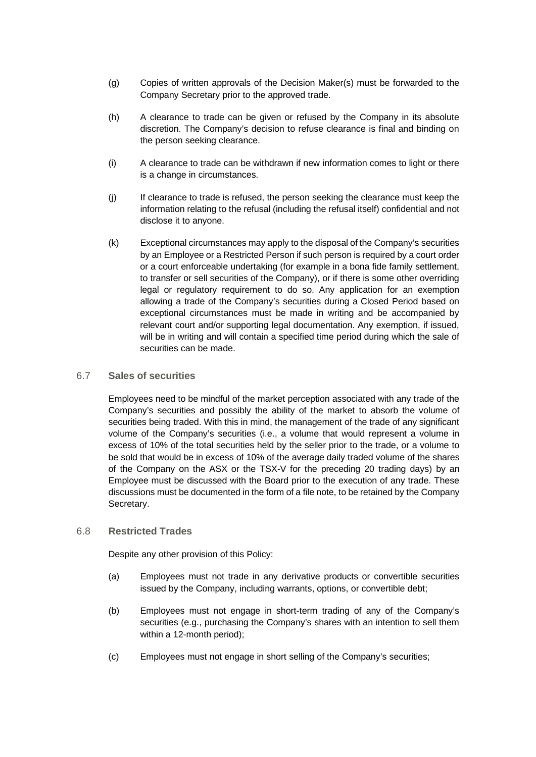- (g) Copies of written approvals of the Decision Maker(s) must be forwarded to the Company Secretary prior to the approved trade.
- (h) A clearance to trade can be given or refused by the Company in its absolute discretion. The Company's decision to refuse clearance is final and binding on the person seeking clearance.
- (i) A clearance to trade can be withdrawn if new information comes to light or there is a change in circumstances.
- (j) If clearance to trade is refused, the person seeking the clearance must keep the information relating to the refusal (including the refusal itself) confidential and not disclose it to anyone.
- (k) Exceptional circumstances may apply to the disposal of the Company's securities by an Employee or a Restricted Person if such person is required by a court order or a court enforceable undertaking (for example in a bona fide family settlement, to transfer or sell securities of the Company), or if there is some other overriding legal or regulatory requirement to do so. Any application for an exemption allowing a trade of the Company's securities during a Closed Period based on exceptional circumstances must be made in writing and be accompanied by relevant court and/or supporting legal documentation. Any exemption, if issued, will be in writing and will contain a specified time period during which the sale of securities can be made.

#### 6.7 **Sales of securities**

Employees need to be mindful of the market perception associated with any trade of the Company's securities and possibly the ability of the market to absorb the volume of securities being traded. With this in mind, the management of the trade of any significant volume of the Company's securities (i.e., a volume that would represent a volume in excess of 10% of the total securities held by the seller prior to the trade, or a volume to be sold that would be in excess of 10% of the average daily traded volume of the shares of the Company on the ASX or the TSX-V for the preceding 20 trading days) by an Employee must be discussed with the Board prior to the execution of any trade. These discussions must be documented in the form of a file note, to be retained by the Company Secretary.

#### 6.8 **Restricted Trades**

Despite any other provision of this Policy:

- (a) Employees must not trade in any derivative products or convertible securities issued by the Company, including warrants, options, or convertible debt;
- (b) Employees must not engage in short-term trading of any of the Company's securities (e.g., purchasing the Company's shares with an intention to sell them within a 12-month period);
- (c) Employees must not engage in short selling of the Company's securities;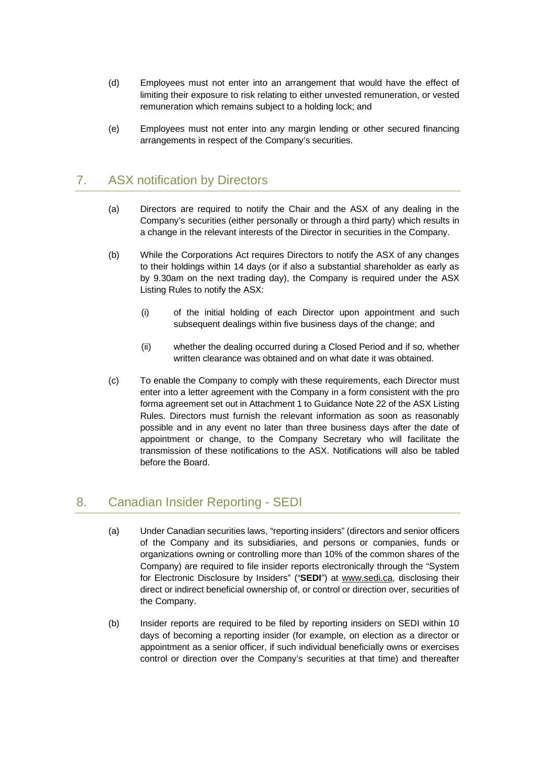- (d) Employees must not enter into an arrangement that would have the effect of limiting their exposure to risk relating to either unvested remuneration, or vested remuneration which remains subject to a holding lock; and
- (e) Employees must not enter into any margin lending or other secured financing arrangements in respect of the Company's securities.

## 7. ASX notification by Directors

- (a) Directors are required to notify the Chair and the ASX of any dealing in the Company's securities (either personally or through a third party) which results in a change in the relevant interests of the Director in securities in the Company.
- (b) While the Corporations Act requires Directors to notify the ASX of any changes to their holdings within 14 days (or if also a substantial shareholder as early as by 9.30am on the next trading day), the Company is required under the ASX Listing Rules to notify the ASX:
	- (i) of the initial holding of each Director upon appointment and such subsequent dealings within five business days of the change; and
	- (ii) whether the dealing occurred during a Closed Period and if so, whether written clearance was obtained and on what date it was obtained.
- (c) To enable the Company to comply with these requirements, each Director must enter into a letter agreement with the Company in a form consistent with the pro forma agreement set out in Attachment 1 to Guidance Note 22 of the ASX Listing Rules. Directors must furnish the relevant information as soon as reasonably possible and in any event no later than three business days after the date of appointment or change, to the Company Secretary who will facilitate the transmission of these notifications to the ASX. Notifications will also be tabled before the Board.

## 8. Canadian Insider Reporting - SEDI

- (a) Under Canadian securities laws, "reporting insiders" (directors and senior officers of the Company and its subsidiaries, and persons or companies, funds or organizations owning or controlling more than 10% of the common shares of the Company) are required to file insider reports electronically through the "System for Electronic Disclosure by Insiders" ("**SEDI**") at www.sedi.ca, disclosing their direct or indirect beneficial ownership of, or control or direction over, securities of the Company.
- (b) Insider reports are required to be filed by reporting insiders on SEDI within 10 days of becoming a reporting insider (for example, on election as a director or appointment as a senior officer, if such individual beneficially owns or exercises control or direction over the Company's securities at that time) and thereafter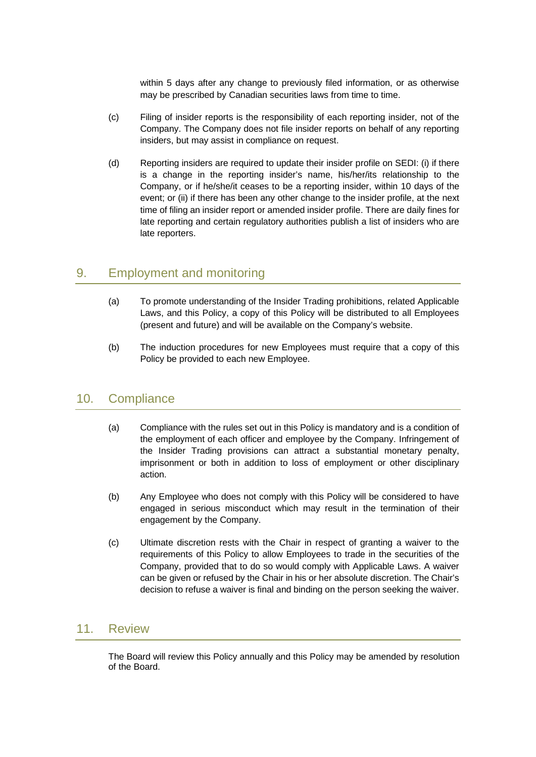within 5 days after any change to previously filed information, or as otherwise may be prescribed by Canadian securities laws from time to time.

- (c) Filing of insider reports is the responsibility of each reporting insider, not of the Company. The Company does not file insider reports on behalf of any reporting insiders, but may assist in compliance on request.
- (d) Reporting insiders are required to update their insider profile on SEDI: (i) if there is a change in the reporting insider's name, his/her/its relationship to the Company, or if he/she/it ceases to be a reporting insider, within 10 days of the event; or (ii) if there has been any other change to the insider profile, at the next time of filing an insider report or amended insider profile. There are daily fines for late reporting and certain regulatory authorities publish a list of insiders who are late reporters.

## 9. Employment and monitoring

- (a) To promote understanding of the Insider Trading prohibitions, related Applicable Laws, and this Policy, a copy of this Policy will be distributed to all Employees (present and future) and will be available on the Company's website.
- (b) The induction procedures for new Employees must require that a copy of this Policy be provided to each new Employee.

## 10. Compliance

- (a) Compliance with the rules set out in this Policy is mandatory and is a condition of the employment of each officer and employee by the Company. Infringement of the Insider Trading provisions can attract a substantial monetary penalty, imprisonment or both in addition to loss of employment or other disciplinary action.
- (b) Any Employee who does not comply with this Policy will be considered to have engaged in serious misconduct which may result in the termination of their engagement by the Company.
- (c) Ultimate discretion rests with the Chair in respect of granting a waiver to the requirements of this Policy to allow Employees to trade in the securities of the Company, provided that to do so would comply with Applicable Laws. A waiver can be given or refused by the Chair in his or her absolute discretion. The Chair's decision to refuse a waiver is final and binding on the person seeking the waiver.

### 11. Review

The Board will review this Policy annually and this Policy may be amended by resolution of the Board.